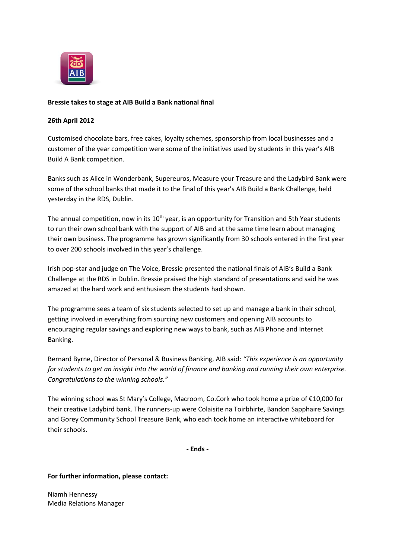

## **Bressie takes to stage at AIB Build a Bank national final**

## **26th April 2012**

Customised chocolate bars, free cakes, loyalty schemes, sponsorship from local businesses and a customer of the year competition were some of the initiatives used by students in this year's AIB Build A Bank competition.

Banks such as Alice in Wonderbank, Supereuros, Measure your Treasure and the Ladybird Bank were some of the school banks that made it to the final of this year's AIB Build a Bank Challenge, held yesterday in the RDS, Dublin.

The annual competition, now in its 10<sup>th</sup> year, is an opportunity for Transition and 5th Year students to run their own school bank with the support of AIB and at the same time learn about managing their own business. The programme has grown significantly from 30 schools entered in the first year to over 200 schools involved in this year's challenge.

Irish pop-star and judge on The Voice, Bressie presented the national finals of AIB's Build a Bank Challenge at the RDS in Dublin. Bressie praised the high standard of presentations and said he was amazed at the hard work and enthusiasm the students had shown.

The programme sees a team of six students selected to set up and manage a bank in their school, getting involved in everything from sourcing new customers and opening AIB accounts to encouraging regular savings and exploring new ways to bank, such as AIB Phone and Internet Banking.

Bernard Byrne, Director of Personal & Business Banking, AIB said: *"This experience is an opportunity for students to get an insight into the world of finance and banking and running their own enterprise. Congratulations to the winning schools."*

The winning school was St Mary's College, Macroom, Co.Cork who took home a prize of €10,000 for their creative Ladybird bank. The runners-up were Colaisite na Toirbhirte, Bandon Sapphaire Savings and Gorey Community School Treasure Bank, who each took home an interactive whiteboard for their schools.

**- Ends -**

## **For further information, please contact:**

Niamh Hennessy Media Relations Manager